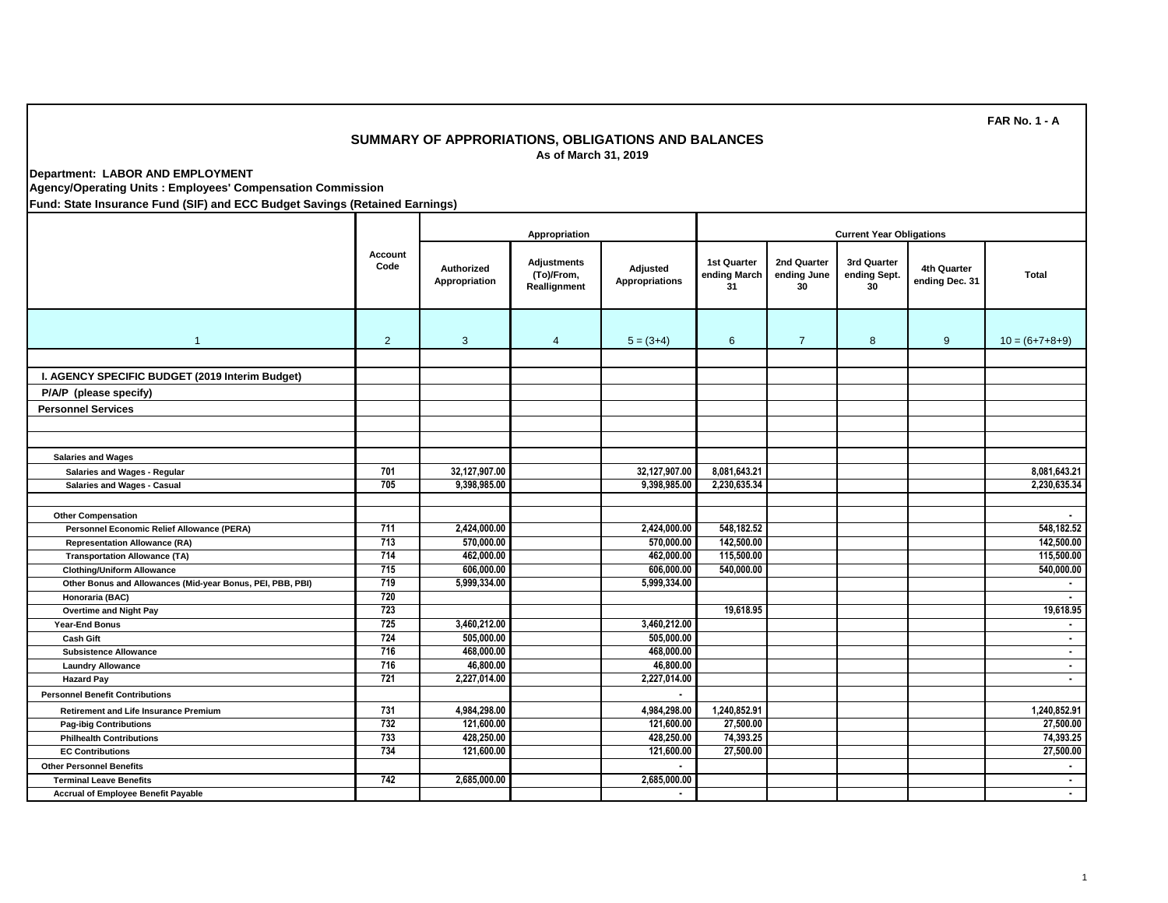## **SUMMARY OF APPRORIATIONS, OBLIGATIONS AND BALANCES As of March 31, 2019**

**Department: LABOR AND EMPLOYMENT**

**Agency/Operating Units : Employees' Compensation Commission**

**Fund: State Insurance Fund (SIF) and ECC Budget Savings (Retained Earnings)**

|                                                            |                 | Appropriation               |                                                  |                            | <b>Current Year Obligations</b>          |                                  |                                   |                               |                          |  |
|------------------------------------------------------------|-----------------|-----------------------------|--------------------------------------------------|----------------------------|------------------------------------------|----------------------------------|-----------------------------------|-------------------------------|--------------------------|--|
|                                                            | Account<br>Code | Authorized<br>Appropriation | <b>Adjustments</b><br>(To)/From,<br>Reallignment | Adjusted<br>Appropriations | <b>1st Quarter</b><br>ending March<br>31 | 2nd Quarter<br>ending June<br>30 | 3rd Quarter<br>ending Sept.<br>30 | 4th Quarter<br>ending Dec. 31 | <b>Total</b>             |  |
| $\overline{1}$                                             | 2               | 3                           | $\overline{4}$                                   | $5 = (3+4)$                | 6                                        | $\overline{7}$                   | 8                                 | 9                             | $10 = (6+7+8+9)$         |  |
|                                                            |                 |                             |                                                  |                            |                                          |                                  |                                   |                               |                          |  |
| I. AGENCY SPECIFIC BUDGET (2019 Interim Budget)            |                 |                             |                                                  |                            |                                          |                                  |                                   |                               |                          |  |
| P/A/P (please specify)                                     |                 |                             |                                                  |                            |                                          |                                  |                                   |                               |                          |  |
| <b>Personnel Services</b>                                  |                 |                             |                                                  |                            |                                          |                                  |                                   |                               |                          |  |
|                                                            |                 |                             |                                                  |                            |                                          |                                  |                                   |                               |                          |  |
|                                                            |                 |                             |                                                  |                            |                                          |                                  |                                   |                               |                          |  |
| <b>Salaries and Wages</b>                                  |                 |                             |                                                  |                            |                                          |                                  |                                   |                               |                          |  |
| Salaries and Wages - Regular                               | 701             | 32,127,907.00               |                                                  | 32,127,907.00              | 8,081,643.21                             |                                  |                                   |                               | 8,081,643.21             |  |
| Salaries and Wages - Casual                                | 705             | 9,398,985.00                |                                                  | 9,398,985.00               | 2,230,635.34                             |                                  |                                   |                               | 2,230,635.34             |  |
|                                                            |                 |                             |                                                  |                            |                                          |                                  |                                   |                               |                          |  |
| <b>Other Compensation</b>                                  |                 |                             |                                                  |                            |                                          |                                  |                                   |                               | $\overline{\phantom{a}}$ |  |
| Personnel Economic Relief Allowance (PERA)                 | 711             | 2,424,000.00                |                                                  | 2,424,000.00               | 548,182.52                               |                                  |                                   |                               | 548,182.52               |  |
| <b>Representation Allowance (RA)</b>                       | 713             | 570,000.00                  |                                                  | 570,000.00                 | 142,500.00                               |                                  |                                   |                               | 142,500.00               |  |
| <b>Transportation Allowance (TA)</b>                       | 714             | 462,000.00                  |                                                  | 462,000.00                 | 115,500.00                               |                                  |                                   |                               | 115,500.00               |  |
| <b>Clothing/Uniform Allowance</b>                          | 715             | 606,000.00                  |                                                  | 606,000,00                 | 540,000.00                               |                                  |                                   |                               | 540,000.00               |  |
| Other Bonus and Allowances (Mid-year Bonus, PEI, PBB, PBI) | 719             | 5,999,334.00                |                                                  | 5,999,334.00               |                                          |                                  |                                   |                               |                          |  |
| Honoraria (BAC)                                            | 720             |                             |                                                  |                            |                                          |                                  |                                   |                               | $\blacksquare$           |  |
| <b>Overtime and Night Pay</b>                              | 723             |                             |                                                  |                            | 19,618.95                                |                                  |                                   |                               | 19,618.95                |  |
| Year-End Bonus                                             | 725             | 3,460,212.00                |                                                  | 3,460,212.00               |                                          |                                  |                                   |                               | $\blacksquare$           |  |
| <b>Cash Gift</b>                                           | 724             | 505,000.00                  |                                                  | 505,000.00                 |                                          |                                  |                                   |                               | $\blacksquare$           |  |
| <b>Subsistence Allowance</b>                               | 716             | 468,000.00                  |                                                  | 468,000.00                 |                                          |                                  |                                   |                               | $\sim$                   |  |
| <b>Laundry Allowance</b>                                   | 716             | 46,800.00                   |                                                  | 46,800.00                  |                                          |                                  |                                   |                               | $\blacksquare$           |  |
| <b>Hazard Pay</b>                                          | 721             | 2,227,014.00                |                                                  | 2,227,014.00               |                                          |                                  |                                   |                               | $\sim$                   |  |
| <b>Personnel Benefit Contributions</b>                     |                 |                             |                                                  |                            |                                          |                                  |                                   |                               |                          |  |
| <b>Retirement and Life Insurance Premium</b>               | 731             | 4,984,298.00                |                                                  | 4,984,298.00               | 1,240,852.91                             |                                  |                                   |                               | 1,240,852.91             |  |
| <b>Pag-ibig Contributions</b>                              | 732             | 121,600.00                  |                                                  | 121,600.00                 | 27,500.00                                |                                  |                                   |                               | 27,500.00                |  |
| <b>Philhealth Contributions</b>                            | 733             | 428,250.00                  |                                                  | 428,250.00                 | 74,393.25                                |                                  |                                   |                               | 74,393.25                |  |
| <b>EC Contributions</b>                                    | 734             | 121,600.00                  |                                                  | 121,600.00                 | 27,500.00                                |                                  |                                   |                               | 27,500.00                |  |
| <b>Other Personnel Benefits</b>                            |                 |                             |                                                  |                            |                                          |                                  |                                   |                               | $\blacksquare$           |  |
| <b>Terminal Leave Benefits</b>                             | 742             | 2,685,000.00                |                                                  | 2,685,000.00               |                                          |                                  |                                   |                               | $\blacksquare$           |  |
| <b>Accrual of Employee Benefit Payable</b>                 |                 |                             |                                                  | $\blacksquare$             |                                          |                                  |                                   |                               | $\sim$                   |  |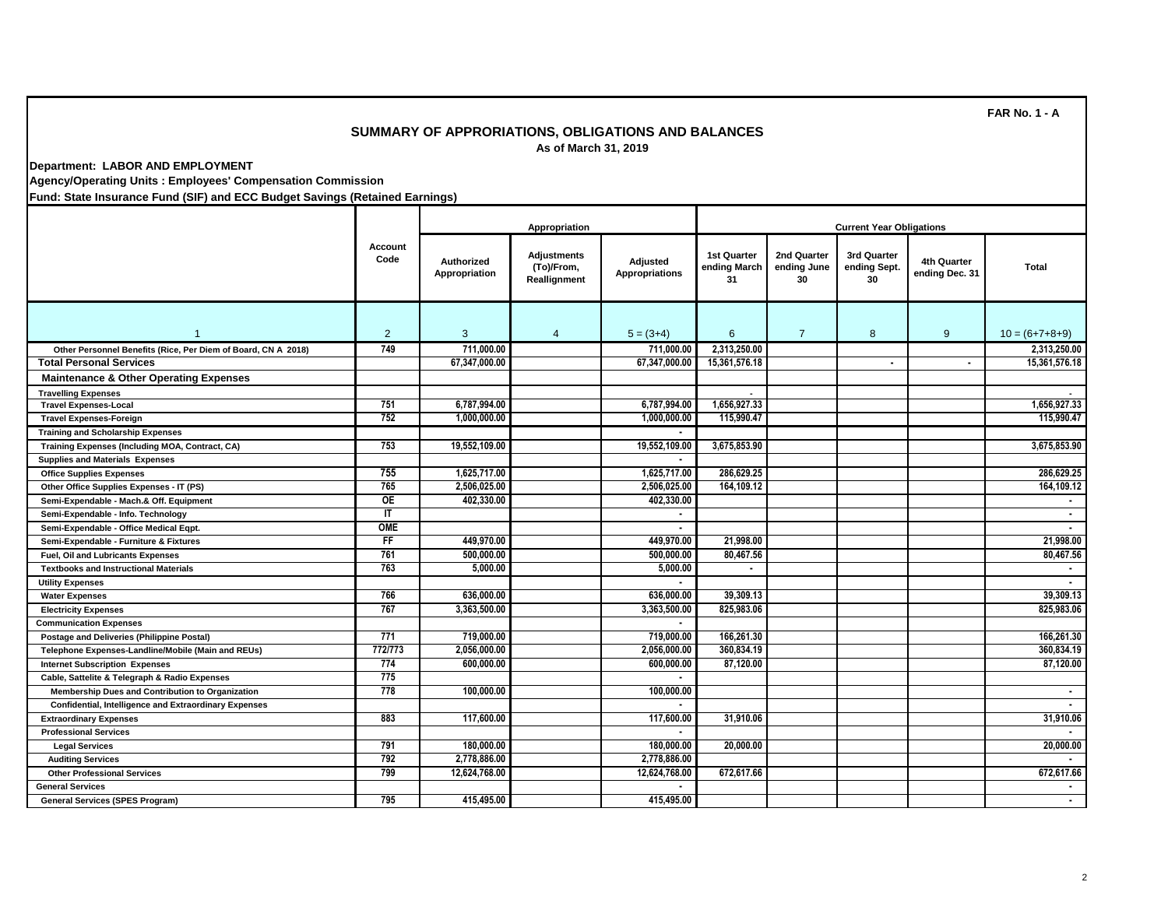## **SUMMARY OF APPRORIATIONS, OBLIGATIONS AND BALANCES As of March 31, 2019**

**Department: LABOR AND EMPLOYMENT**

**Agency/Operating Units : Employees' Compensation Commission**

**Fund: State Insurance Fund (SIF) and ECC Budget Savings (Retained Earnings)**

|                                                               |                 |                             | <b>Current Year Obligations</b>           |                                   |                                   |                                  |                                   |                               |                  |
|---------------------------------------------------------------|-----------------|-----------------------------|-------------------------------------------|-----------------------------------|-----------------------------------|----------------------------------|-----------------------------------|-------------------------------|------------------|
|                                                               | Account<br>Code | Authorized<br>Appropriation | Adjustments<br>(To)/From,<br>Reallignment | Adjusted<br><b>Appropriations</b> | 1st Quarter<br>ending March<br>31 | 2nd Quarter<br>ending June<br>30 | 3rd Quarter<br>ending Sept.<br>30 | 4th Quarter<br>ending Dec. 31 | <b>Total</b>     |
| $\mathbf{1}$                                                  | $\overline{2}$  | 3                           | $\overline{4}$                            | $5 = (3+4)$                       | 6                                 | $\overline{7}$                   | 8                                 | 9                             | $10 = (6+7+8+9)$ |
| Other Personnel Benefits (Rice, Per Diem of Board, CN A 2018) | 749             | 711.000.00                  |                                           | 711,000.00                        | 2,313,250.00                      |                                  |                                   |                               | 2,313,250.00     |
| <b>Total Personal Services</b>                                |                 | 67,347,000.00               |                                           | 67,347,000.00                     | 15,361,576.18                     |                                  | $\blacksquare$                    | $\blacksquare$                | 15,361,576.18    |
| <b>Maintenance &amp; Other Operating Expenses</b>             |                 |                             |                                           |                                   |                                   |                                  |                                   |                               |                  |
| <b>Travelling Expenses</b>                                    |                 |                             |                                           |                                   |                                   |                                  |                                   |                               |                  |
| <b>Travel Expenses-Local</b>                                  | 751             | 6.787.994.00                |                                           | 6,787,994.00                      | 1.656.927.33                      |                                  |                                   |                               | 1.656.927.33     |
| <b>Travel Expenses-Foreign</b>                                | 752             | 1.000.000.00                |                                           | 1.000.000.00                      | 115,990.47                        |                                  |                                   |                               | 115,990.47       |
| <b>Training and Scholarship Expenses</b>                      |                 |                             |                                           |                                   |                                   |                                  |                                   |                               |                  |
| Training Expenses (Including MOA, Contract, CA)               | 753             | 19,552,109.00               |                                           | 19,552,109.00                     | 3,675,853.90                      |                                  |                                   |                               | 3,675,853.90     |
| <b>Supplies and Materials Expenses</b>                        |                 |                             |                                           |                                   |                                   |                                  |                                   |                               |                  |
| <b>Office Supplies Expenses</b>                               | 755             | 1,625,717.00                |                                           | 1,625,717.00                      | 286,629.25                        |                                  |                                   |                               | 286.629.25       |
| Other Office Supplies Expenses - IT (PS)                      | 765             | 2,506,025.00                |                                           | 2,506,025.00                      | 164,109.12                        |                                  |                                   |                               | 164,109.12       |
| Semi-Expendable - Mach.& Off. Equipment                       | <b>OE</b>       | 402.330.00                  |                                           | 402.330.00                        |                                   |                                  |                                   |                               |                  |
| Semi-Expendable - Info. Technology                            | IT              |                             |                                           |                                   |                                   |                                  |                                   |                               | $\blacksquare$   |
| Semi-Expendable - Office Medical Eqpt.                        | OME             |                             |                                           | $\overline{\phantom{a}}$          |                                   |                                  |                                   |                               |                  |
| Semi-Expendable - Furniture & Fixtures                        | F               | 449.970.00                  |                                           | 449.970.00                        | 21,998.00                         |                                  |                                   |                               | 21,998.00        |
| Fuel, Oil and Lubricants Expenses                             | 761             | 500,000.00                  |                                           | 500,000.00                        | 80,467.56                         |                                  |                                   |                               | 80,467.56        |
| <b>Textbooks and Instructional Materials</b>                  | 763             | 5.000.00                    |                                           | 5.000.00                          | $\blacksquare$                    |                                  |                                   |                               | $\blacksquare$   |
| <b>Utility Expenses</b>                                       |                 |                             |                                           |                                   |                                   |                                  |                                   |                               |                  |
| <b>Water Expenses</b>                                         | 766             | 636,000.00                  |                                           | 636,000.00                        | 39,309.13                         |                                  |                                   |                               | 39,309.13        |
| <b>Electricity Expenses</b>                                   | 767             | 3,363,500.00                |                                           | 3,363,500.00                      | 825,983.06                        |                                  |                                   |                               | 825,983.06       |
| <b>Communication Expenses</b>                                 |                 |                             |                                           |                                   |                                   |                                  |                                   |                               |                  |
| <b>Postage and Deliveries (Philippine Postal)</b>             | 771             | 719,000.00                  |                                           | 719,000,00                        | 166,261,30                        |                                  |                                   |                               | 166.261.30       |
| Telephone Expenses-Landline/Mobile (Main and REUs)            | 772/773         | 2,056,000.00                |                                           | 2,056,000.00                      | 360,834.19                        |                                  |                                   |                               | 360,834.19       |
| <b>Internet Subscription Expenses</b>                         | 774             | 600.000.00                  |                                           | 600.000.00                        | 87,120.00                         |                                  |                                   |                               | 87.120.00        |
| Cable, Sattelite & Telegraph & Radio Expenses                 | 775             |                             |                                           |                                   |                                   |                                  |                                   |                               |                  |
| Membership Dues and Contribution to Organization              | 778             | 100,000.00                  |                                           | 100,000.00                        |                                   |                                  |                                   |                               | $\blacksquare$   |
| <b>Confidential, Intelligence and Extraordinary Expenses</b>  |                 |                             |                                           | $\blacksquare$                    |                                   |                                  |                                   |                               |                  |
| <b>Extraordinary Expenses</b>                                 | 883             | 117,600.00                  |                                           | 117,600.00                        | 31,910.06                         |                                  |                                   |                               | 31,910.06        |
| <b>Professional Services</b>                                  |                 |                             |                                           |                                   |                                   |                                  |                                   |                               |                  |
| <b>Legal Services</b>                                         | 791             | 180,000.00                  |                                           | 180,000.00                        | 20.000.00                         |                                  |                                   |                               | 20,000.00        |
| <b>Auditing Services</b>                                      | 792             | 2,778,886.00                |                                           | 2,778,886.00                      |                                   |                                  |                                   |                               |                  |
| <b>Other Professional Services</b>                            | 799             | 12,624,768.00               |                                           | 12,624,768.00                     | 672,617.66                        |                                  |                                   |                               | 672,617.66       |
| <b>General Services</b>                                       |                 |                             |                                           |                                   |                                   |                                  |                                   |                               |                  |
| <b>General Services (SPES Program)</b>                        | 795             | 415.495.00                  |                                           | 415,495.00                        |                                   |                                  |                                   |                               |                  |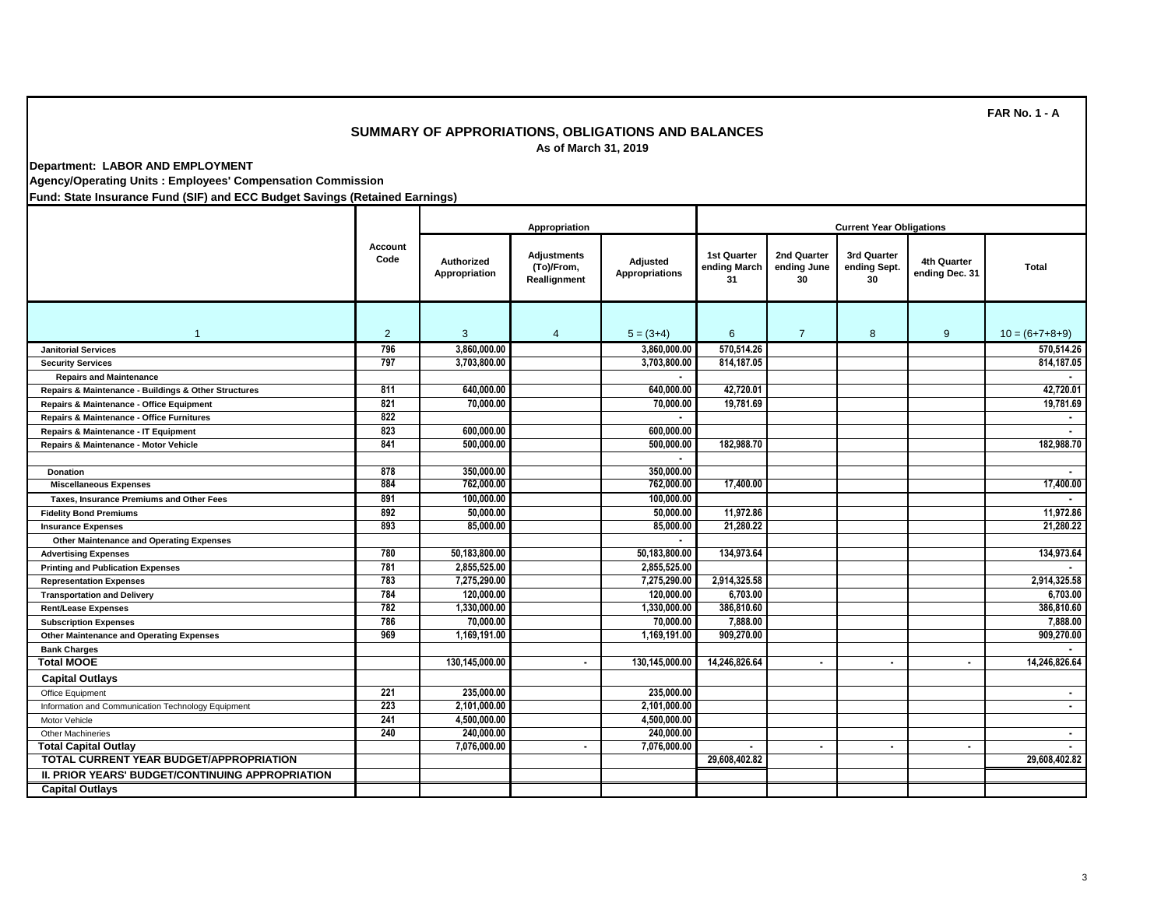## **SUMMARY OF APPRORIATIONS, OBLIGATIONS AND BALANCES As of March 31, 2019**

**Department: LABOR AND EMPLOYMENT**

**Agency/Operating Units : Employees' Compensation Commission**

**Fund: State Insurance Fund (SIF) and ECC Budget Savings (Retained Earnings)**

|                                                      |                 | Appropriation                      |                                                  |                                   | <b>Current Year Obligations</b>   |                                  |                                   |                                      |                  |
|------------------------------------------------------|-----------------|------------------------------------|--------------------------------------------------|-----------------------------------|-----------------------------------|----------------------------------|-----------------------------------|--------------------------------------|------------------|
|                                                      | Account<br>Code | <b>Authorized</b><br>Appropriation | <b>Adjustments</b><br>(To)/From,<br>Reallignment | Adjusted<br><b>Appropriations</b> | 1st Quarter<br>ending March<br>31 | 2nd Quarter<br>ending June<br>30 | 3rd Quarter<br>ending Sept.<br>30 | <b>4th Quarter</b><br>ending Dec. 31 | <b>Total</b>     |
| $\mathbf{1}$                                         | $\overline{2}$  | 3                                  | $\overline{4}$                                   | $5 = (3+4)$                       | 6                                 | $\overline{7}$                   | 8                                 | 9                                    | $10 = (6+7+8+9)$ |
| <b>Janitorial Services</b>                           | 796             | 3.860.000.00                       |                                                  | 3.860.000.00                      | 570.514.26                        |                                  |                                   |                                      | 570.514.26       |
| <b>Security Services</b>                             | 797             | 3.703.800.00                       |                                                  | 3,703,800.00                      | 814,187.05                        |                                  |                                   |                                      | 814,187.05       |
| <b>Repairs and Maintenance</b>                       |                 |                                    |                                                  |                                   |                                   |                                  |                                   |                                      |                  |
| Repairs & Maintenance - Buildings & Other Structures | 811             | 640,000.00                         |                                                  | 640.000.00                        | 42.720.01                         |                                  |                                   |                                      | 42.720.01        |
| Repairs & Maintenance - Office Equipment             | 821             | 70,000.00                          |                                                  | 70,000.00                         | 19,781.69                         |                                  |                                   |                                      | 19,781.69        |
| Repairs & Maintenance - Office Furnitures            | 822             |                                    |                                                  |                                   |                                   |                                  |                                   |                                      |                  |
| Repairs & Maintenance - IT Equipment                 | 823             | 600,000.00                         |                                                  | 600.000.00                        |                                   |                                  |                                   |                                      |                  |
| Repairs & Maintenance - Motor Vehicle                | 841             | 500,000.00                         |                                                  | 500.000.00                        | 182,988.70                        |                                  |                                   |                                      | 182,988.70       |
|                                                      |                 |                                    |                                                  | $\blacksquare$                    |                                   |                                  |                                   |                                      |                  |
| <b>Donation</b>                                      | 878             | 350,000.00                         |                                                  | 350,000.00                        |                                   |                                  |                                   |                                      |                  |
| <b>Miscellaneous Expenses</b>                        | 884             | 762,000.00                         |                                                  | 762,000.00                        | 17,400.00                         |                                  |                                   |                                      | 17,400.00        |
| Taxes, Insurance Premiums and Other Fees             | 891             | 100,000.00                         |                                                  | 100,000.00                        |                                   |                                  |                                   |                                      |                  |
| <b>Fidelity Bond Premiums</b>                        | 892             | 50,000.00                          |                                                  | 50,000.00                         | 11,972.86                         |                                  |                                   |                                      | 11,972.86        |
| <b>Insurance Expenses</b>                            | 893             | 85,000,00                          |                                                  | 85,000,00                         | 21,280.22                         |                                  |                                   |                                      | 21.280.22        |
| Other Maintenance and Operating Expenses             |                 |                                    |                                                  |                                   |                                   |                                  |                                   |                                      |                  |
| <b>Advertising Expenses</b>                          | 780             | 50,183,800.00                      |                                                  | 50,183,800.00                     | 134,973.64                        |                                  |                                   |                                      | 134,973.64       |
| <b>Printing and Publication Expenses</b>             | 781             | 2,855,525.00                       |                                                  | 2,855,525.00                      |                                   |                                  |                                   |                                      |                  |
| <b>Representation Expenses</b>                       | 783             | 7.275.290.00                       |                                                  | 7.275.290.00                      | 2,914,325.58                      |                                  |                                   |                                      | 2,914,325.58     |
| <b>Transportation and Delivery</b>                   | 784             | 120,000,00                         |                                                  | 120,000,00                        | 6,703.00                          |                                  |                                   |                                      | 6.703.00         |
| <b>Rent/Lease Expenses</b>                           | 782             | 1.330.000.00                       |                                                  | 1.330.000.00                      | 386,810.60                        |                                  |                                   |                                      | 386,810,60       |
| <b>Subscription Expenses</b>                         | 786             | 70.000.00                          |                                                  | 70,000.00                         | 7.888.00                          |                                  |                                   |                                      | 7,888,00         |
| Other Maintenance and Operating Expenses             | 969             | 1,169,191.00                       |                                                  | 1,169,191.00                      | 909,270.00                        |                                  |                                   |                                      | 909,270.00       |
| <b>Bank Charges</b>                                  |                 |                                    |                                                  |                                   |                                   |                                  |                                   |                                      |                  |
| <b>Total MOOE</b>                                    |                 | 130,145,000.00                     | $\blacksquare$                                   | 130,145,000.00                    | 14,246,826.64                     | $\blacksquare$                   | $\blacksquare$                    | $\blacksquare$                       | 14,246,826.64    |
| <b>Capital Outlays</b>                               |                 |                                    |                                                  |                                   |                                   |                                  |                                   |                                      |                  |
| Office Equipment                                     | 221             | 235,000.00                         |                                                  | 235,000.00                        |                                   |                                  |                                   |                                      | $\blacksquare$   |
| Information and Communication Technology Equipment   | 223             | 2,101,000.00                       |                                                  | 2.101.000.00                      |                                   |                                  |                                   |                                      | $\blacksquare$   |
| Motor Vehicle                                        | 241             | 4,500,000.00                       |                                                  | 4,500,000.00                      |                                   |                                  |                                   |                                      |                  |
| <b>Other Machineries</b>                             | 240             | 240,000,00                         |                                                  | 240,000,00                        |                                   |                                  |                                   |                                      |                  |
| <b>Total Capital Outlav</b>                          |                 | 7.076.000.00                       | $\blacksquare$                                   | 7.076.000.00                      | $\sim$                            | $\blacksquare$                   | $\blacksquare$                    | $\blacksquare$                       | $\blacksquare$   |
| TOTAL CURRENT YEAR BUDGET/APPROPRIATION              |                 |                                    |                                                  |                                   | 29,608,402.82                     |                                  |                                   |                                      | 29,608,402.82    |
| II. PRIOR YEARS' BUDGET/CONTINUING APPROPRIATION     |                 |                                    |                                                  |                                   |                                   |                                  |                                   |                                      |                  |
| <b>Capital Outlays</b>                               |                 |                                    |                                                  |                                   |                                   |                                  |                                   |                                      |                  |